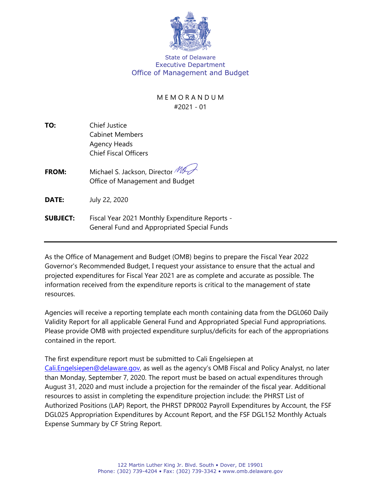

State of Delaware Executive Department Office of Management and Budget

## M E M O R A N D U M #2021 - 01

- **TO:** Chief Justice Cabinet Members Agency Heads Chief Fiscal Officers
- **FROM:** Michael S. Jackson, Director MI Office of Management and Budget
- **DATE:** July 22, 2020

**SUBJECT:** Fiscal Year 2021 Monthly Expenditure Reports - General Fund and Appropriated Special Funds

As the Office of Management and Budget (OMB) begins to prepare the Fiscal Year 2022 Governor's Recommended Budget, I request your assistance to ensure that the actual and projected expenditures for Fiscal Year 2021 are as complete and accurate as possible. The information received from the expenditure reports is critical to the management of state resources.

Agencies will receive a reporting template each month containing data from the DGL060 Daily Validity Report for all applicable General Fund and Appropriated Special Fund appropriations. Please provide OMB with projected expenditure surplus/deficits for each of the appropriations contained in the report.

The first expenditure report must be submitted to Cali Engelsiepen at [Cali.Engelsiepen@delaware.gov,](mailto:Cali.Engelsiepen@delaware.gov) as well as the agency's OMB Fiscal and Policy Analyst, no later than Monday, September 7, 2020. The report must be based on actual expenditures through August 31, 2020 and must include a projection for the remainder of the fiscal year. Additional resources to assist in completing the expenditure projection include: the PHRST List of Authorized Positions (LAP) Report, the PHRST DPR002 Payroll Expenditures by Account, the FSF DGL025 Appropriation Expenditures by Account Report, and the FSF DGL152 Monthly Actuals Expense Summary by CF String Report.